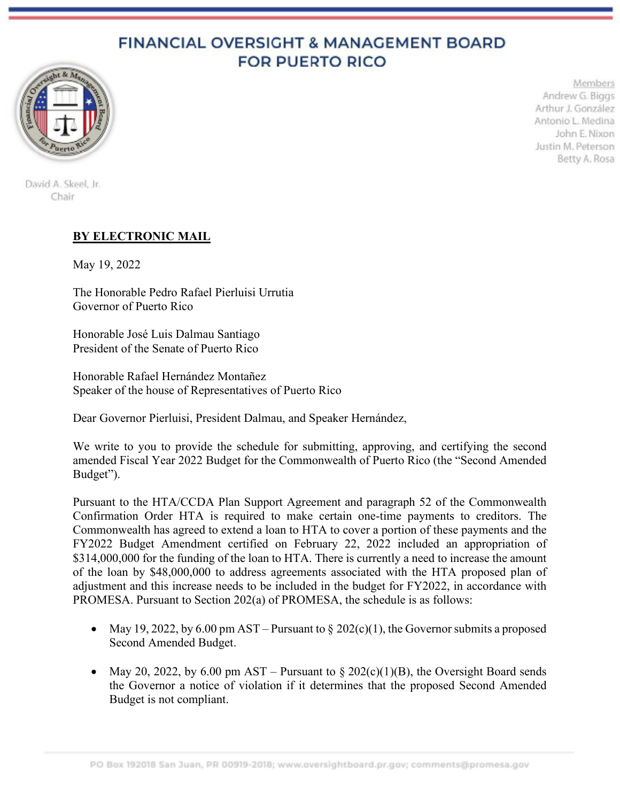## FINANCIAL OVERSIGHT & MANAGEMENT BOARD **FOR PUERTO RICO**



Members Andrew G. Biggs Arthur J. González Antonio L. Medina John E. Nixon Justin M. Peterson Betty A. Rosa

David A. Skeel, Jr. Chair

## **BY ELECTRONIC MAIL**

May 19, 2022

The Honorable Pedro Rafael Pierluisi Urrutia Governor of Puerto Rico

Honorable José Luis Dalmau Santiago President of the Senate of Puerto Rico

Honorable Rafael Hernández Montañez Speaker of the house of Representatives of Puerto Rico

Dear Governor Pierluisi, President Dalmau, and Speaker Hernández,

We write to you to provide the schedule for submitting, approving, and certifying the second amended Fiscal Year 2022 Budget for the Commonwealth of Puerto Rico (the "Second Amended Budget").

Pursuant to the HTA/CCDA Plan Support Agreement and paragraph 52 of the Commonwealth Confirmation Order HTA is required to make certain one-time payments to creditors. The Commonwealth has agreed to extend a loan to HTA to cover a portion of these payments and the FY2022 Budget Amendment certified on February 22, 2022 included an appropriation of \$314,000,000 for the funding of the loan to HTA. There is currently a need to increase the amount of the loan by \$48,000,000 to address agreements associated with the HTA proposed plan of adjustment and this increase needs to be included in the budget for FY2022, in accordance with PROMESA. Pursuant to Section 202(a) of PROMESA, the schedule is as follows:

- May 19, 2022, by 6.00 pm AST Pursuant to  $\S$  202(c)(1), the Governor submits a proposed Second Amended Budget.
- May 20, 2022, by 6.00 pm AST Pursuant to  $\S 202(c)(1)(B)$ , the Oversight Board sends the Governor a notice of violation if it determines that the proposed Second Amended Budget is not compliant.